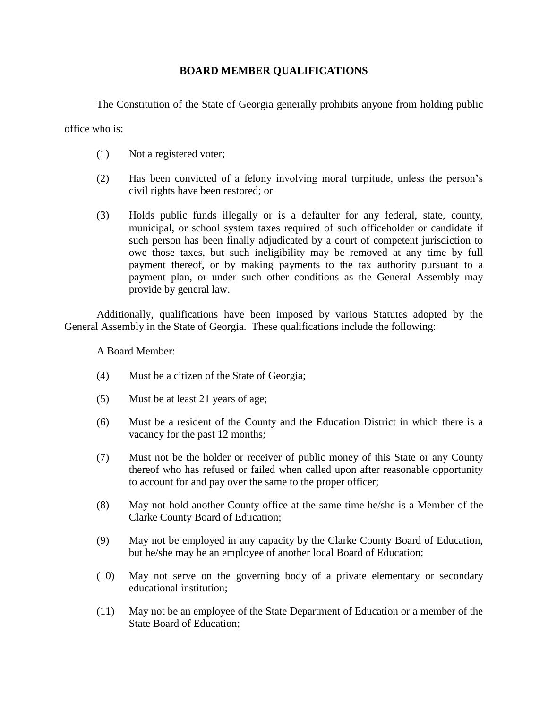## **BOARD MEMBER QUALIFICATIONS**

The Constitution of the State of Georgia generally prohibits anyone from holding public

office who is:

- (1) Not a registered voter;
- (2) Has been convicted of a felony involving moral turpitude, unless the person's civil rights have been restored; or
- (3) Holds public funds illegally or is a defaulter for any federal, state, county, municipal, or school system taxes required of such officeholder or candidate if such person has been finally adjudicated by a court of competent jurisdiction to owe those taxes, but such ineligibility may be removed at any time by full payment thereof, or by making payments to the tax authority pursuant to a payment plan, or under such other conditions as the General Assembly may provide by general law.

Additionally, qualifications have been imposed by various Statutes adopted by the General Assembly in the State of Georgia. These qualifications include the following:

A Board Member:

- (4) Must be a citizen of the State of Georgia;
- (5) Must be at least 21 years of age;
- (6) Must be a resident of the County and the Education District in which there is a vacancy for the past 12 months;
- (7) Must not be the holder or receiver of public money of this State or any County thereof who has refused or failed when called upon after reasonable opportunity to account for and pay over the same to the proper officer;
- (8) May not hold another County office at the same time he/she is a Member of the Clarke County Board of Education;
- (9) May not be employed in any capacity by the Clarke County Board of Education, but he/she may be an employee of another local Board of Education;
- (10) May not serve on the governing body of a private elementary or secondary educational institution;
- (11) May not be an employee of the State Department of Education or a member of the State Board of Education;